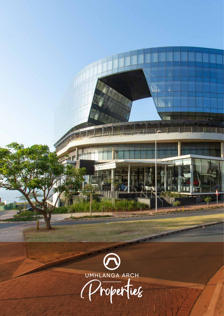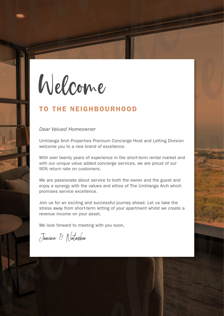Welcome<br>Welcome<br>TO THE NEIGHBOURHOOD TO THE<br>
Dear Valued P<br>
Umhlanga Arch<br>
Welcome you to<br>
With over twenty<br>
with over twenty<br>
with over twenty<br>
SO% return rate<br>
90% return rate<br>
We are passion<br>
enjoy a synergy<br>
promises service<br>
Join us for an e<br>
stress away Welcome

## TO THE NEIGHBOURHOOD

#### *Dear Valued Homeowner*

Umhlanga Arch Properties Premium Concierge Host and Letting Division welcome you to a new brand of excellence.

THE NEIGHBOURHOOD<br>Valued Homeowner<br>mga Arch Properties Premium Concierge Host and Letting Division<br>me you to a new brand of excellence.<br>over twenty evast of experience in the short-term rental market and<br>ver wentwerk exce With over twenty years of experience in the short-term rental market and with our unique value added concierge services, we are proud of our 90% return rate on customers.

We are passionate about service to both the owner and the guest and enjoy a synergy with the values and ethos of The Umhlanga Arch which promises service excellence.

**Example 2014**<br> **Example 2014 CONV C**<br> **EXAMPLE INTEREMENTATION CONVERGED INTO A THE NEIGHBOURHOOD**<br>
Dear Valued Homeowner<br>
Umhianga Arch Properties Premium Concierge Host and Letting Division<br>
with over twenty years of ex 90% return rate on customers.<br>We are passionate about service to both the owner and the guest and<br>choose as sometic with the values and othos of The Umliniang Arch which<br>promises service excellence.<br>Join us for an exciting Join us for an exciting and successful journey ahead. Let us take the stress away from short-term letting of your apartment whilst we create a revenue income on your asset.

We look forward to meeting with you soon,

Janine & Natasha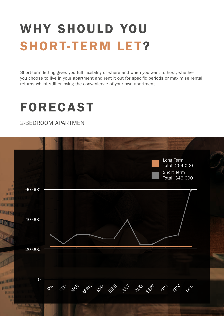# WHY SHOULD YOU SHORT-TERM LET?

Short-term letting gives you full flexibility of where and when you want to host, whether you choose to live in your apartment and rent it out for specific periods or maximise rental returns whilst still enjoying the convenience of your own apartment.

# FORECAST

2-BEDROOM APARTMENT

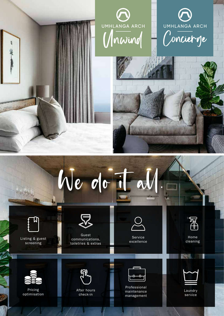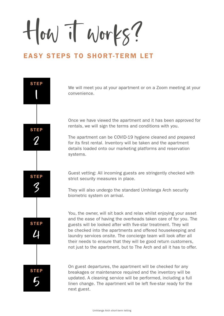How it works?

## EASY STEPS TO SHORT-TERM LET



We will meet you at your apartment or on a Zoom meeting at your convenience.

Once we have viewed the apartment and it has been approved for rentals, we will sign the terms and conditions with you.

The apartment can be COVID-19 hygiene cleaned and prepared for its first rental. Inventory will be taken and the apartment details loaded onto our marketing platforms and reservation systems.

Guest vetting: All incoming guests are stringently checked with strict security measures in place.

They will also undergo the standard Umhlanga Arch security biometric system on arrival.

You, the owner, will sit back and relax whilst enjoying your asset and the ease of having the overheads taken care of for you. The guests will be looked after with five-star treatment. They will be checked into the apartments and offered housekeeping and laundry services onsite. The concierge team will look after all their needs to ensure that they will be good return customers, not just to the apartment, but to The Arch and all it has to offer.

On guest departures, the apartment will be checked for any breakages or maintenance required and the inventory will be updated. A cleaning service will be performed, including a full linen change. The apartment will be left five-star ready for the next guest.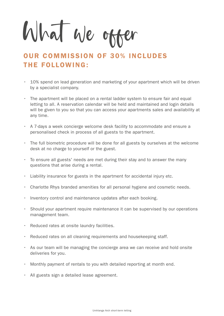What we offer

# OUR COMMISSION OF 30% INCLUDES THE FOLLOWING:

- 10% spend on lead generation and marketing of your apartment which will be driven by a specialist company.
- The apartment will be placed on a rental ladder system to ensure fair and equal letting to all. A reservation calendar will be held and maintained and login details will be given to you so that you can access your apartments sales and availability at any time.
- A 7-days a week concierge welcome desk facility to accommodate and ensure a personalised check in process of all guests to the apartment.
- The full biometric procedure will be done for all guests by ourselves at the welcome desk at no charge to yourself or the guest.
- To ensure all guests' needs are met during their stay and to answer the many questions that arise during a rental.
- Liability insurance for guests in the apartment for accidental injury etc.
- Charlotte Rhys branded amenities for all personal hygiene and cosmetic needs.
- Inventory control and maintenance updates after each booking.
- Should your apartment require maintenance it can be supervised by our operations management team.
- Reduced rates at onsite laundry facilities.
- Reduced rates on all cleaning requirements and housekeeping staff.
- As our team will be managing the concierge area we can receive and hold onsite deliveries for you.
- Monthly payment of rentals to you with detailed reporting at month end.
- All guests sign a detailed lease agreement.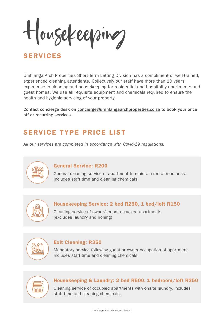Housekeeping

# SERVICES

Umhlanga Arch Properties Short-Term Letting Division has a compliment of well-trained, experienced cleaning attendants. Collectively our staff have more than 10 years' experience in cleaning and housekeeping for residential and hospitality apartments and guest homes. We use all requisite equipment and chemicals required to ensure the health and hygienic servicing of your property.

Contact concierge desk on concierge@umhlangaarchproperties.co.za to book your once off or recurring services.

# SERVICE TYPE PRICE LIST

*All our services are completed in accordance with Covid-19 regulations.*



#### General Service: R200

General cleaning service of apartment to maintain rental readiness. Includes staff time and cleaning chemicals.



#### Housekeeping Service: 2 bed R250, 1 bed/loft R150

Cleaning service of owner/tenant occupied apartments (excludes laundry and ironing)



#### Exit Cleaning: R350

Mandatory service following guest or owner occupation of apartment. Includes staff time and cleaning chemicals.



#### Housekeeping & Laundry: 2 bed R500, 1 bedroom/loft R350

Cleaning service of occupied apartments with onsite laundry. Includes staff time and cleaning chemicals.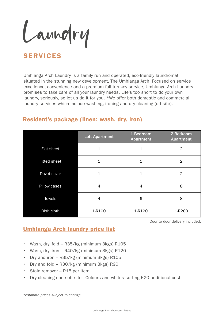Laundry

# SERVICES

Umhlanga Arch Laundry is a family run and operated, eco-friendly laundromat situated in the stunning new development, The Umhlanga Arch. Focused on service excellence, convenience and a premium full turnkey service, Umhlanga Arch Laundry promises to take care of all your laundry needs. Life's too short to do your own laundry, seriously, so let us do it for you. \*We offer both domestic and commercial laundry services which include washing, ironing and dry cleaning (off site).

### Resident's package (linen: wash, dry, iron)

|                     | <b>Loft Apartment</b> | 1-Bedroom<br><b>Apartment</b> | 2-Bedroom<br><b>Apartment</b> |
|---------------------|-----------------------|-------------------------------|-------------------------------|
| Flat sheet          |                       | 1                             | $\overline{2}$                |
| <b>Fitted sheet</b> |                       | 1                             | $\overline{2}$                |
| Duvet cover         | 1                     | 1                             | $\overline{2}$                |
| Pillow cases        | 4                     | 4                             | 8                             |
| Towels              | 4                     | 6                             | 8                             |
| Dish cloth          | 1-R100                | 1-R120                        | 1-R200                        |

Door to door delivery included.

### Umhlanga Arch laundry price list

- Wash, dry, fold R35/kg (minimum 3kgs) R105
- Wash, dry, iron R40/kg (minimum 3kgs) R120
- Dry and iron R35/kg (minimum 3kgs) R105
- Dry and fold R30/kg (minimum 3kgs) R90
- Stain remover R15 per item
- Dry cleaning done off site Colours and whites sorting R20 additional cost

*\*estimate prices subject to change*